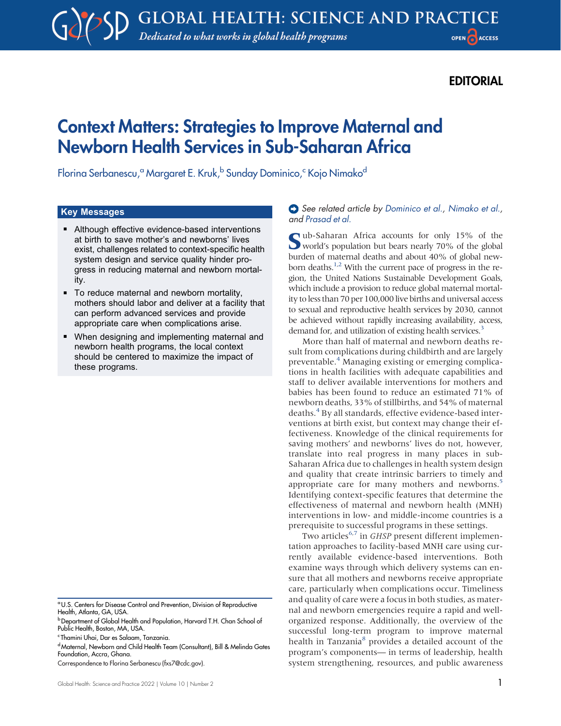## **EDITORIAL**

# Context Matters: Strategies to Improve Maternal and Newborn Health Services in Sub-Saharan Africa

Florina Serbanescu,<sup>a</sup> Margaret E. Kruk,<sup>b</sup> Sunday Dominico,<sup>c</sup> Kojo Nimako<sup>d</sup>

#### Key Messages

- Although effective evidence-based interventions at birth to save mother's and newborns' lives exist, challenges related to context-specific health system design and service quality hinder progress in reducing maternal and newborn mortality.
- To reduce maternal and newborn mortality, mothers should labor and deliver at a facility that can perform advanced services and provide appropriate care when complications arise.
- When designing and implementing maternal and newborn health programs, the local context should be centered to maximize the impact of these programs.

- c Thamini Uhai, Dar es Salaam, Tanzania.
- <sup>d</sup> Maternal, Newborn and Child Health Team (Consultant), Bill & Melinda Gates Foundation, Accra, Ghana.

#### See related article by [Dominico et al.](https://doi.org/10.9745/GHSP-D-21-00485), [Nimako et al.](https://doi.org/10.9745/GHSP-D-20-00684), and [Prasad et al.](https://doi.org/10.9745/GHSP-D-21-00484)

Sub-Saharan Africa accounts for only 15% of the world's population but bears nearly 70% of the global burden of maternal deaths and about 40% of global new-born deaths.<sup>1[,2](#page-2-1)</sup> With the current pace of progress in the region, the United Nations Sustainable Development Goals, which include a provision to reduce global maternal mortality to less than 70 per 100,000 live births and universal access to sexual and reproductive health services by 2030, cannot be achieved without rapidly increasing availability, access, demand for, and utilization of existing health services.<sup>[3](#page-2-2)</sup>

More than half of maternal and newborn deaths result from complications during childbirth and are largely preventable.[4](#page-2-3) Managing existing or emerging complications in health facilities with adequate capabilities and staff to deliver available interventions for mothers and babies has been found to reduce an estimated 71% of newborn deaths, 33% of stillbirths, and 54% of maternal deaths.<sup>[4](#page-2-3)</sup> By all standards, effective evidence-based interventions at birth exist, but context may change their effectiveness. Knowledge of the clinical requirements for saving mothers' and newborns' lives do not, however, translate into real progress in many places in sub-Saharan Africa due to challenges in health system design and quality that create intrinsic barriers to timely and appropriate care for many mothers and newborns.<sup>5</sup> Identifying context-specific features that determine the effectiveness of maternal and newborn health (MNH) interventions in low- and middle-income countries is a prerequisite to successful programs in these settings.

Two articles<sup>[6,](#page-2-5)[7](#page-2-6)</sup> in GHSP present different implementation approaches to facility-based MNH care using currently available evidence-based interventions. Both examine ways through which delivery systems can ensure that all mothers and newborns receive appropriate care, particularly when complications occur. Timeliness and quality of care were a focus in both studies, as maternal and newborn emergencies require a rapid and wellorganized response. Additionally, the overview of the successful long-term program to improve maternal health in Tanzania<sup>8</sup> provides a detailed account of the program's components— in terms of leadership, health system strengthening, resources, and public awareness

aU.S. Centers for Disease Control and Prevention, Division of Reproductive Health, Atlanta, GA, USA.

**b** Department of Global Health and Population, Harvard T.H. Chan School of Public Health, Boston, MA, USA.

Correspondence to Florina Serbanescu [\(fxs7@cdc.gov\)](mailto:fxs7@cdc.gov).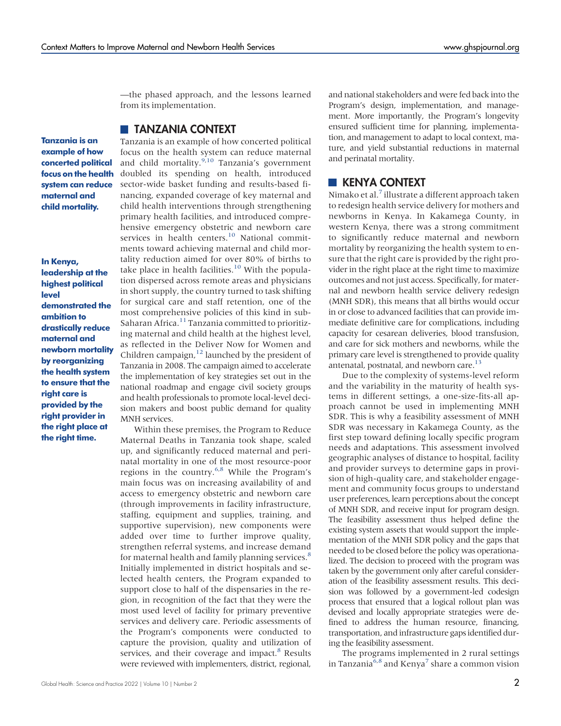—the phased approach, and the lessons learned from its implementation.

#### **TANZANIA CONTEXT**

Tanzania is an example of how concerted political focus on the health system can reduce maternal and child mortality.

In Kenya, leadership at the highest political level demonstrated the ambition to drastically reduce maternal and newborn mortality by reorganizing the health system to ensure that the right care is provided by the right provider in the right place at the right time.

Tanzania is an example of how concerted political focus on the health system can reduce maternal and child mortality. $9,10$  $9,10$  Tanzania's government doubled its spending on health, introduced sector-wide basket funding and results-based financing, expanded coverage of key maternal and child health interventions through strengthening primary health facilities, and introduced comprehensive emergency obstetric and newborn care services in health centers.<sup>[10](#page-2-9)</sup> National commitments toward achieving maternal and child mortality reduction aimed for over 80% of births to take place in health facilities.<sup>10</sup> With the population dispersed across remote areas and physicians in short supply, the country turned to task shifting for surgical care and staff retention, one of the most comprehensive policies of this kind in sub-Saharan Africa.<sup>[11](#page-2-10)</sup> Tanzania committed to prioritizing maternal and child health at the highest level, as reflected in the Deliver Now for Women and Children campaign, $12$  launched by the president of Tanzania in 2008. The campaign aimed to accelerate the implementation of key strategies set out in the national roadmap and engage civil society groups and health professionals to promote local-level decision makers and boost public demand for quality MNH services.

Within these premises, the Program to Reduce Maternal Deaths in Tanzania took shape, scaled up, and significantly reduced maternal and perinatal mortality in one of the most resource-poor regions in the country.[6](#page-2-5)[,8](#page-2-7) While the Program's main focus was on increasing availability of and access to emergency obstetric and newborn care (through improvements in facility infrastructure, staffing, equipment and supplies, training, and supportive supervision), new components were added over time to further improve quality, strengthen referral systems, and increase demand for maternal health and family planning services.<sup>[8](#page-2-7)</sup> Initially implemented in district hospitals and selected health centers, the Program expanded to support close to half of the dispensaries in the region, in recognition of the fact that they were the most used level of facility for primary preventive services and delivery care. Periodic assessments of the Program's components were conducted to capture the provision, quality and utilization of services, and their coverage and impact.<sup>[8](#page-2-7)</sup> Results were reviewed with implementers, district, regional,

and national stakeholders and were fed back into the Program's design, implementation, and management. More importantly, the Program's longevity ensured sufficient time for planning, implementation, and management to adapt to local context, mature, and yield substantial reductions in maternal and perinatal mortality.

### **KENYA CONTEXT**

Nimako et al.<sup>[7](#page-2-6)</sup> illustrate a different approach taken to redesign health service delivery for mothers and newborns in Kenya. In Kakamega County, in western Kenya, there was a strong commitment to significantly reduce maternal and newborn mortality by reorganizing the health system to ensure that the right care is provided by the right provider in the right place at the right time to maximize outcomes and not just access. Specifically, for maternal and newborn health service delivery redesign (MNH SDR), this means that all births would occur in or close to advanced facilities that can provide immediate definitive care for complications, including capacity for cesarean deliveries, blood transfusion, and care for sick mothers and newborns, while the primary care level is strengthened to provide quality antenatal, postnatal, and newborn care.<sup>13</sup>

Due to the complexity of systems-level reform and the variability in the maturity of health systems in different settings, a one-size-fits-all approach cannot be used in implementing MNH SDR. This is why a feasibility assessment of MNH SDR was necessary in Kakamega County, as the first step toward defining locally specific program needs and adaptations. This assessment involved geographic analyses of distance to hospital, facility and provider surveys to determine gaps in provision of high-quality care, and stakeholder engagement and community focus groups to understand user preferences, learn perceptions about the concept of MNH SDR, and receive input for program design. The feasibility assessment thus helped define the existing system assets that would support the implementation of the MNH SDR policy and the gaps that needed to be closed before the policy was operationalized. The decision to proceed with the program was taken by the government only after careful consideration of the feasibility assessment results. This decision was followed by a government-led codesign process that ensured that a logical rollout plan was devised and locally appropriate strategies were defined to address the human resource, financing, transportation, and infrastructure gaps identified during the feasibility assessment.

The programs implemented in 2 rural settings in Tanzania<sup>6[,8](#page-2-7)</sup> and Kenya<sup>[7](#page-2-6)</sup> share a common vision